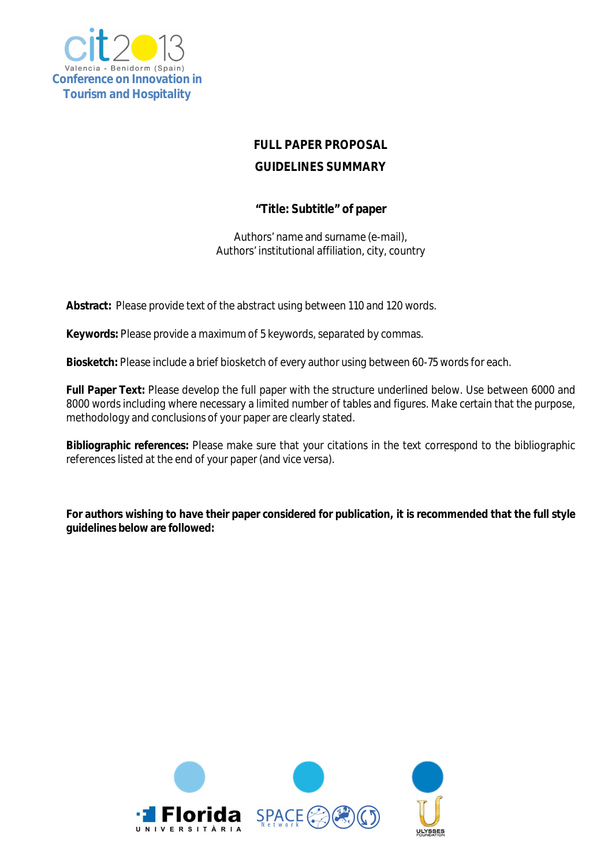

# **FULL PAPER PROPOSAL GUIDELINES SUMMARY**

## **"Title: Subtitle" of paper**

Authors' name and surname (e-mail), Authors' institutional affiliation, city, country

**Abstract:** Please provide text of the abstract using between 110 and 120 words.

**Keywords:** Please provide a maximum of 5 keywords, separated by commas.

**Biosketch:** Please include a brief biosketch of every author using between 60-75 words for each.

**Full Paper Text:** Please develop the full paper with the structure underlined below. Use between 6000 and 8000 words including where necessary a limited number of tables and figures. Make certain that the purpose, methodology and conclusions of your paper are clearly stated.

**Bibliographic references:** Please make sure that your citations in the text correspond to the bibliographic references listed at the end of your paper (and vice versa).

**For authors wishing to have their paper considered for publication, it is recommended that the full style guidelines below are followed:**

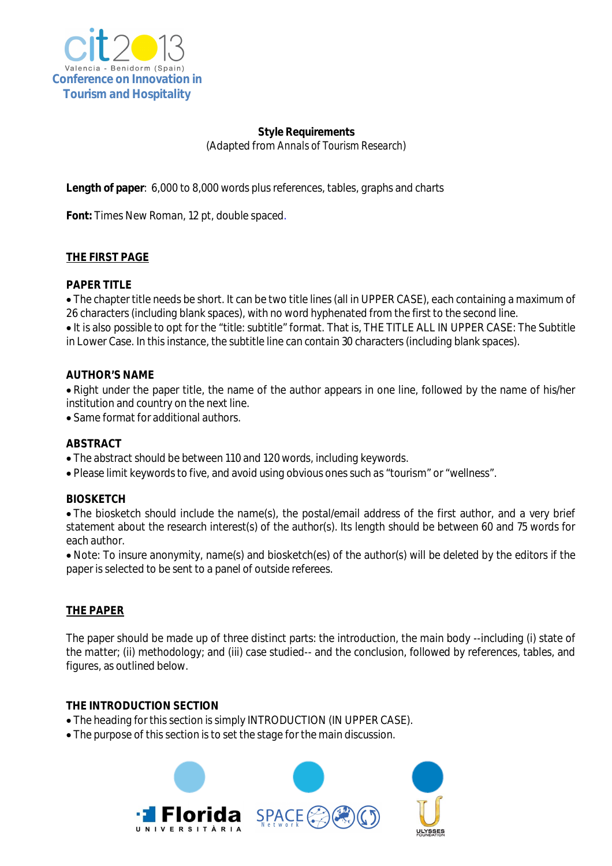

## **Style Requirements** (Adapted from *Annals of Tourism Research*)

**Length of paper**: 6,000 to 8,000 words plus references, tables, graphs and charts

**Font:** Times New Roman, 12 pt, double spaced.

## **THE FIRST PAGE**

## **PAPER TITLE**

 The chapter title needs be short. It can be two title lines (all in UPPER CASE), each containing a maximum of 26 characters (including blank spaces), with no word hyphenated from the first to the second line.

It is also possible to opt for the "title: subtitle" format. That is, THE TITLE ALL IN UPPER CASE: The Subtitle in Lower Case. In this instance, the subtitle line can contain 30 characters (including blank spaces).

#### **AUTHOR'S NAME**

• Right under the paper title, the name of the author appears in one line, followed by the name of his/her institution and country on the next line.

Same format for additional authors.

#### **ABSTRACT**

- The abstract should be between 110 and 120 words, including keywords.
- Please limit keywords to five, and avoid using obvious ones such as "tourism" or "wellness".

#### **BIOSKETCH**

 The biosketch should include the name(s), the postal/email address of the first author, and a very brief statement about the research interest(s) of the author(s). Its length should be between 60 and 75 words for each author.

 Note: To insure anonymity, name(s) and biosketch(es) of the author(s) will be deleted by the editors if the paper is selected to be sent to a panel of outside referees.

## **THE PAPER**

The paper should be made up of three distinct parts: the introduction, the main body --including (i) state of the matter; (ii) methodology; and (iii) case studied-- and the conclusion, followed by references, tables, and figures, as outlined below.

#### **THE INTRODUCTION SECTION**

- The heading for this section is simply INTRODUCTION (IN UPPER CASE).
- The purpose of this section is to set the stage for the main discussion.

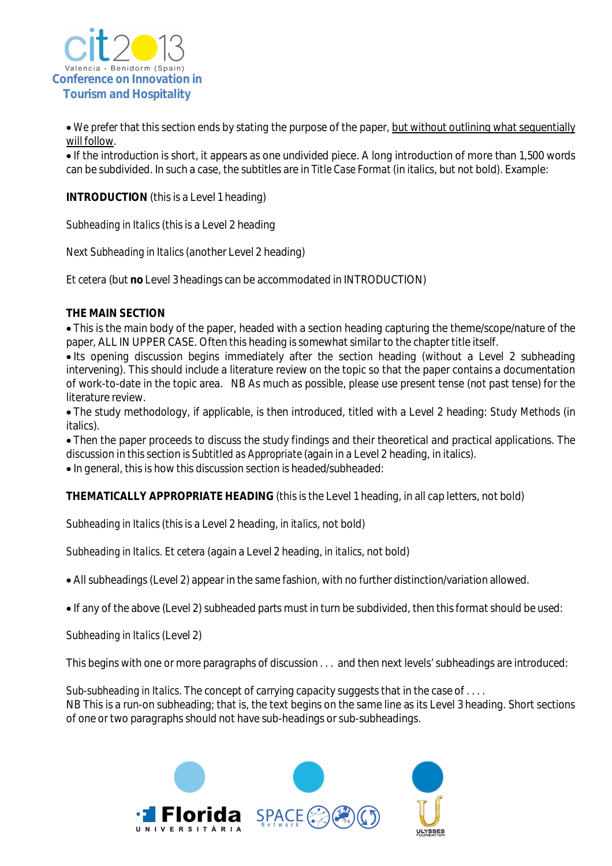

• We prefer that this section ends by stating the purpose of the paper, but without outlining what sequentially will follow.

 If the introduction is short, it appears as one undivided piece. A long introduction of more than 1,500 words can be subdivided. In such a case, the subtitles are in *Title Case Format* (in italics, but not bold*)*. Example:

**INTRODUCTION** (this is a Level 1 heading)

*Subheading in Italics* (this is a Level 2 heading

*Next Subheading in Italics* (another Level 2 heading)

*Et cetera* (but **no** Level 3 headings can be accommodated in INTRODUCTION)

## **THE MAIN SECTION**

 This is the main body of the paper, headed with a section heading capturing the theme/scope/nature of the paper, ALL IN UPPER CASE. Often this heading is somewhat similar to the chapter title itself.

• Its opening discussion begins immediately after the section heading (without a Level 2 subheading intervening). This should include a literature review on the topic so that the paper contains a documentation of work-to-date in the topic area. NB As much as possible, please use present tense (not past tense) for the literature review.

 The study methodology, if applicable, is then introduced, titled with a Level 2 heading: *Study Methods* (in italics)*.*

 Then the paper proceeds to discuss the study findings and their theoretical and practical applications. The discussion in this section is *Subtitled as Appropriate* (again in a Level 2 heading, in italics).

• In general, this is how this discussion section is headed/subheaded:

**THEMATICALLY APPROPRIATE HEADING** (this is the Level 1 heading, in all cap letters, not bold)

*Subheading in Italics* (this is a Level 2 heading, *in italics*, not bold)

*Subheading in Italics. Et cetera* (again a Level 2 heading, *in italics*, not bold)

All subheadings (Level 2) appear in the same fashion, with no further distinction/variation allowed.

If any of the above (Level 2) subheaded parts must in turn be subdivided, then this format should be used:

*Subheading in Italics* (Level 2)

This begins with one or more paragraphs of discussion . . . and then next levels' subheadings are introduced:

*Sub-subheading in Italics.* The concept of carrying capacity suggests that in the case of . . . . NB This is a run-on subheading; that is, the text begins on the same line as its Level 3 heading. Short sections of one or two paragraphs should not have sub-headings or sub-subheadings.

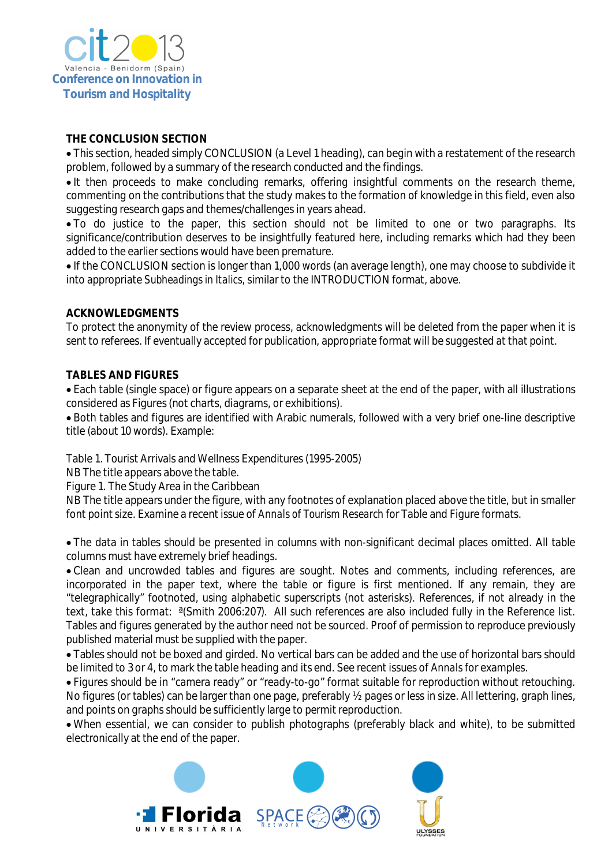

## **THE CONCLUSION SECTION**

 This section, headed simply CONCLUSION (a Level 1 heading), can begin with a restatement of the research problem, followed by a summary of the research conducted and the findings.

• It then proceeds to make concluding remarks, offering insightful comments on the research theme, commenting on the contributions that the study makes to the formation of knowledge in this field, even also suggesting research gaps and themes/challenges in years ahead.

 To do justice to the paper, this section should not be limited to one or two paragraphs. Its significance/contribution deserves to be insightfully featured here, including remarks which had they been added to the earlier sections would have been premature.

 If the CONCLUSION section is longer than 1,000 words (an average length), one may choose to subdivide it into appropriate *Subheadings in Italics*, similar to the INTRODUCTION format, above.

#### **ACKNOWLEDGMENTS**

To protect the anonymity of the review process, acknowledgments will be deleted from the paper when it is sent to referees. If eventually accepted for publication, appropriate format will be suggested at that point.

#### **TABLES AND FIGURES**

 Each table (single space) or figure appears on a separate sheet at the end of the paper, with all illustrations considered as Figures (not charts, diagrams, or exhibitions)*.*

 Both tables and figures are identified with Arabic numerals, followed with a very brief one-line descriptive title (about 10 words). Example:

Table 1. Tourist Arrivals and Wellness Expenditures (1995-2005)

NB The title appears above the table.

Figure 1. The Study Area in the Caribbean

NB The title appears under the figure, with any footnotes of explanation placed above the title, but in smaller font point size. Examine a recent issue of *Annals of Tourism Research* for Table and Figure formats.

 The data in tables should be presented in columns with non-significant decimal places omitted. All table columns must have extremely brief headings.

 Clean and uncrowded tables and figures are sought. Notes and comments, including references, are incorporated in the paper text, where the table or figure is first mentioned. If any remain, they are "telegraphically" footnoted, using alphabetic superscripts (not asterisks). References, if not already in the text, take this format: ª(Smith 2006:207). All such references are also included fully in the Reference list. Tables and figures generated by the author need not be sourced. Proof of permission to reproduce previously published material must be supplied with the paper.

 Tables should not be boxed and girded. No vertical bars can be added and the use of horizontal bars should be limited to 3 or 4, to mark the table heading and its end. See recent issues of *Annals*for examples.

 Figures should be in "camera ready" or "ready-to-go" format suitable for reproduction without retouching. No figures (or tables) can be larger than one page, preferably ½ pages or less in size. All lettering, graph lines, and points on graphs should be sufficiently large to permit reproduction.

 When essential, we can consider to publish photographs (preferably black and white), to be submitted electronically at the end of the paper.

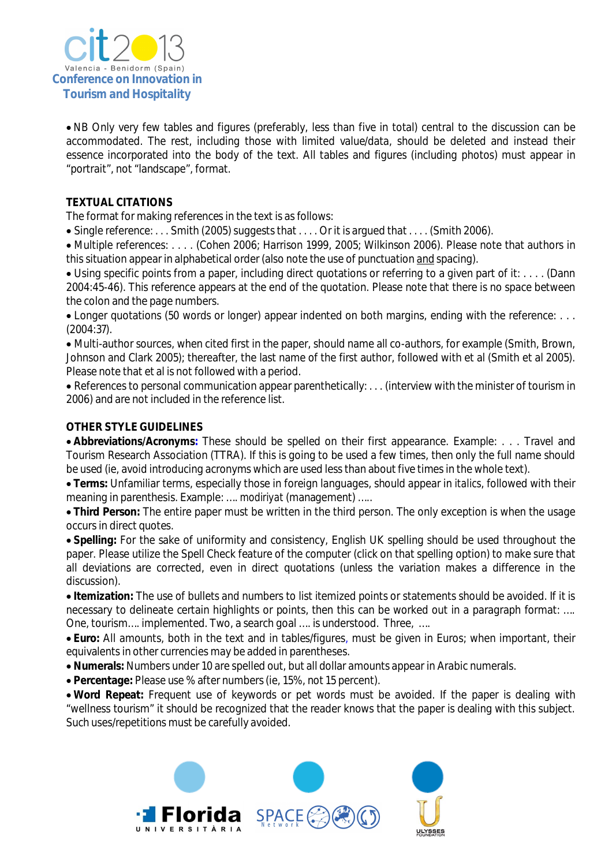

 NB Only very few tables and figures (preferably, less than five in total) central to the discussion can be accommodated. The rest, including those with limited value/data, should be deleted and instead their essence incorporated into the body of the text. All tables and figures (including photos) must appear in "portrait", not "landscape", format.

### **TEXTUAL CITATIONS**

The format for making references in the text is as follows:

Single reference: . . . Smith (2005) suggests that . . . . Or it is argued that . . . . (Smith 2006).

 Multiple references: . . . . (Cohen 2006; Harrison 1999, 2005; Wilkinson 2006). Please note that authors in this situation appear in alphabetical order (also note the use of punctuation and spacing).

 Using specific points from a paper, including direct quotations or referring to a given part of it: . . . . (Dann 2004:45-46). This reference appears at the end of the quotation. Please note that there is no space between the colon and the page numbers.

• Longer quotations (50 words or longer) appear indented on both margins, ending with the reference: ... (2004:37).

 Multi-author sources, when cited first in the paper, should name all co-authors, for example (Smith, Brown, Johnson and Clark 2005); thereafter, the last name of the first author, followed with et al (Smith et al 2005). Please note that et al is not followed with a period.

 References to personal communication appear parenthetically: . . . (interview with the minister of tourism in 2006) and are not included in the reference list.

## **OTHER STYLE GUIDELINES**

 **Abbreviations/Acronyms:** These should be spelled on their first appearance. Example: . . . Travel and Tourism Research Association (TTRA). If this is going to be used a few times, then only the full name should be used (ie, avoid introducing acronyms which are used less than about five times in the whole text).

 **Terms:** Unfamiliar terms, especially those in foreign languages, should appear in *italics*, followed with their meaning in parenthesis. Example: …. *modiriyat* (management) …..

 **Third Person:** The entire paper must be written in the third person. The only exception is when the usage occurs in direct quotes.

 **Spelling:** For the sake of uniformity and consistency, English UK spelling should be used throughout the paper. Please utilize the Spell Check feature of the computer (click on that spelling option) to make sure that all deviations are corrected, even in direct quotations (unless the variation makes a difference in the discussion).

 **Itemization:** The use of bullets and numbers to list itemized points or statements should be avoided. If it is necessary to delineate certain highlights or points, then this can be worked out in a paragraph format: …. One, tourism…. implemented. Two, a search goal …. is understood. Three, ….

 **Euro:** All amounts, both in the text and in tables/figures, must be given in Euros; when important, their equivalents in other currencies may be added in parentheses.

**Numerals:** Numbers under 10 are spelled out, but all dollar amounts appear in Arabic numerals.

**Percentage:** Please use % after numbers (ie, 15%, not 15 percent).

 **Word Repeat:** Frequent use of keywords or pet words must be avoided. If the paper is dealing with "wellness tourism" it should be recognized that the reader knows that the paper is dealing with this subject. Such uses/repetitions must be carefully avoided.

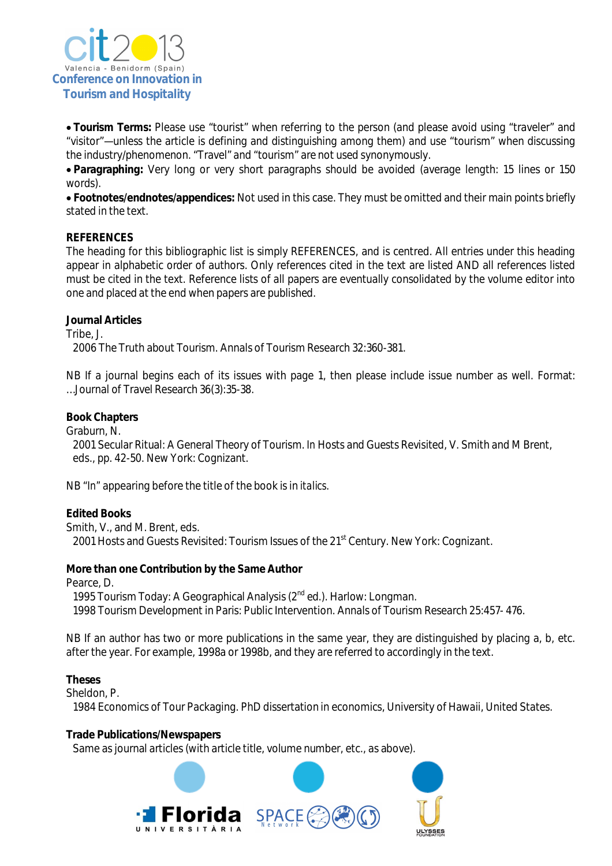

 **Tourism Terms:** Please use "tourist" when referring to the person (and please avoid using "traveler" and "visitor"—unless the article is defining and distinguishing among them) and use "tourism" when discussing the industry/phenomenon. "Travel" and "tourism" are not used synonymously.

 **Paragraphing:** Very long or very short paragraphs should be avoided (average length: 15 lines or 150 words).

 **Footnotes/endnotes/appendices:** Not used in this case. They must be omitted and their main points briefly stated in the text.

#### **REFERENCES**

The heading for this bibliographic list is simply REFERENCES, and is centred. All entries under this heading appear in alphabetic order of authors. Only references cited in the text are listed AND all references listed must be cited in the text. Reference lists of all papers are eventually consolidated by the volume editor into one and placed at the end when papers are published.

#### **Journal Articles**

Tribe, J.

2006 The Truth about Tourism. Annals of Tourism Research 32:360-381.

NB If a journal begins each of its issues with page 1, then please include issue number as well. Format: …Journal of Travel Research 36(3):35-38.

#### **Book Chapters**

Graburn, N.

 2001 Secular Ritual: A General Theory of Tourism. *In* Hosts and Guests Revisited, V. Smith and M Brent, eds., pp. 42-50. New York: Cognizant.

NB "*In"* appearing before the title of the book is in *italics*.

#### **Edited Books**

Smith, V., and M. Brent, eds. 2001 Hosts and Guests Revisited: Tourism Issues of the 21<sup>st</sup> Century. New York: Cognizant.

#### **More than one Contribution by the Same Author**

Pearce, D.

1995 Tourism Today: A Geographical Analysis (2<sup>nd</sup> ed.). Harlow: Longman. 1998 Tourism Development in Paris: Public Intervention. Annals of Tourism Research 25:457- 476.

NB If an author has two or more publications in the same year, they are distinguished by placing a, b, etc. after the year. For example, 1998a or 1998b, and they are referred to accordingly in the text.

#### **Theses**

Sheldon, P.

1984 Economics of Tour Packaging. PhD dissertation in economics, University of Hawaii, United States.

#### **Trade Publications/Newspapers**

Same as journal articles (with article title, volume number, etc., as above).